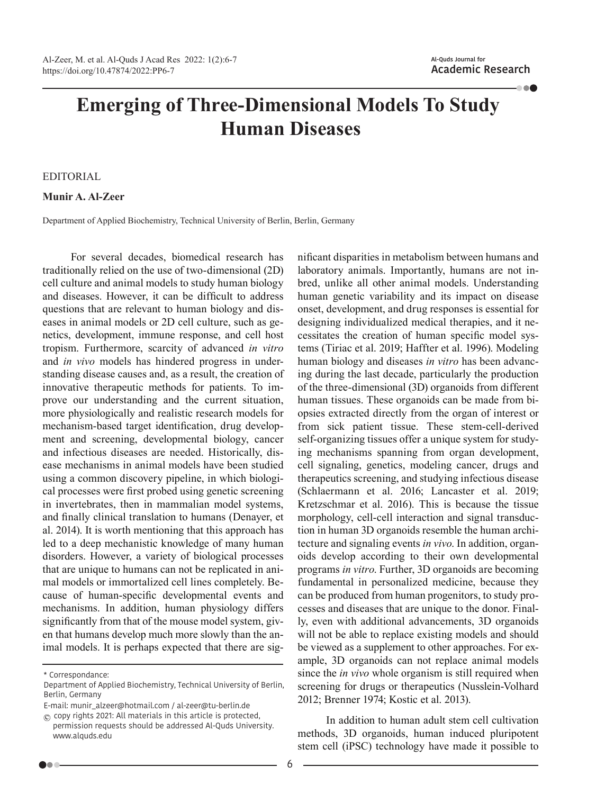**100** 

## **Emerging of Three-Dimensional Models To Study Human Diseases**

## EDITORIAL

**Munir A. Al-Zeer**

Department of Applied Biochemistry, Technical University of Berlin, Berlin, Germany

For several decades, biomedical research has traditionally relied on the use of two-dimensional (2D) cell culture and animal models to study human biology and diseases. However, it can be difficult to address questions that are relevant to human biology and diseases in animal models or 2D cell culture, such as genetics, development, immune response, and cell host tropism. Furthermore, scarcity of advanced *in vitro* and *in vivo* models has hindered progress in understanding disease causes and, as a result, the creation of innovative therapeutic methods for patients. To improve our understanding and the current situation, more physiologically and realistic research models for mechanism-based target identification, drug development and screening, developmental biology, cancer and infectious diseases are needed. Historically, disease mechanisms in animal models have been studied using a common discovery pipeline, in which biological processes were first probed using genetic screening in invertebrates, then in mammalian model systems, and finally clinical translation to humans (Denayer, et al. 2014). It is worth mentioning that this approach has led to a deep mechanistic knowledge of many human disorders. However, a variety of biological processes that are unique to humans can not be replicated in animal models or immortalized cell lines completely. Because of human-specific developmental events and mechanisms. In addition, human physiology differs significantly from that of the mouse model system, given that humans develop much more slowly than the animal models. It is perhaps expected that there are sig-

E-mail: munir\_alzeer@hotmail.com / al-zeer@tu-berlin.de

 $\circled{c}$  copy rights 2021: All materials in this article is protected, permission requests should be addressed Al-Quds University. www.alquds.edu

nificant disparities in metabolism between humans and laboratory animals. Importantly, humans are not inbred, unlike all other animal models. Understanding human genetic variability and its impact on disease onset, development, and drug responses is essential for designing individualized medical therapies, and it necessitates the creation of human specific model systems (Tiriac et al. 2019; Haffter et al. 1996). Modeling human biology and diseases *in vitro* has been advancing during the last decade, particularly the production of the three-dimensional (3D) organoids from different human tissues. These organoids can be made from biopsies extracted directly from the organ of interest or from sick patient tissue. These stem-cell-derived self-organizing tissues offer a unique system for studying mechanisms spanning from organ development, cell signaling, genetics, modeling cancer, drugs and therapeutics screening, and studying infectious disease (Schlaermann et al. 2016; Lancaster et al. 2019; Kretzschmar et al. 2016). This is because the tissue morphology, cell-cell interaction and signal transduction in human 3D organoids resemble the human architecture and signaling events *in vivo*. In addition, organoids develop according to their own developmental programs *in vitro*. Further, 3D organoids are becoming fundamental in personalized medicine, because they can be produced from human progenitors, to study processes and diseases that are unique to the donor. Finally, even with additional advancements, 3D organoids will not be able to replace existing models and should be viewed as a supplement to other approaches. For example, 3D organoids can not replace animal models since the *in vivo* whole organism is still required when screening for drugs or therapeutics (Nusslein-Volhard 2012; Brenner 1974; Kostic et al. 2013).

In addition to human adult stem cell cultivation methods, 3D organoids, human induced pluripotent stem cell (iPSC) technology have made it possible to

<sup>\*</sup> Correspondance:

Department of Applied Biochemistry, Technical University of Berlin, Berlin, Germany